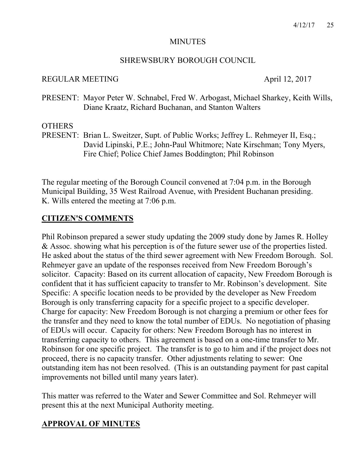#### MINUTES

### SHREWSBURY BOROUGH COUNCIL

### REGULAR MEETING April 12, 2017

PRESENT: Mayor Peter W. Schnabel, Fred W. Arbogast, Michael Sharkey, Keith Wills, Diane Kraatz, Richard Buchanan, and Stanton Walters

### **OTHERS**

PRESENT: Brian L. Sweitzer, Supt. of Public Works; Jeffrey L. Rehmeyer II, Esq.; David Lipinski, P.E.; John-Paul Whitmore; Nate Kirschman; Tony Myers, Fire Chief; Police Chief James Boddington; Phil Robinson

The regular meeting of the Borough Council convened at 7:04 p.m. in the Borough Municipal Building, 35 West Railroad Avenue, with President Buchanan presiding. K. Wills entered the meeting at 7:06 p.m.

## **CITIZEN'S COMMENTS**

Phil Robinson prepared a sewer study updating the 2009 study done by James R. Holley & Assoc. showing what his perception is of the future sewer use of the properties listed. He asked about the status of the third sewer agreement with New Freedom Borough. Sol. Rehmeyer gave an update of the responses received from New Freedom Borough's solicitor. Capacity: Based on its current allocation of capacity, New Freedom Borough is confident that it has sufficient capacity to transfer to Mr. Robinson's development. Site Specific: A specific location needs to be provided by the developer as New Freedom Borough is only transferring capacity for a specific project to a specific developer. Charge for capacity: New Freedom Borough is not charging a premium or other fees for the transfer and they need to know the total number of EDUs. No negotiation of phasing of EDUs will occur. Capacity for others: New Freedom Borough has no interest in transferring capacity to others. This agreement is based on a one-time transfer to Mr. Robinson for one specific project. The transfer is to go to him and if the project does not proceed, there is no capacity transfer. Other adjustments relating to sewer: One outstanding item has not been resolved. (This is an outstanding payment for past capital improvements not billed until many years later).

This matter was referred to the Water and Sewer Committee and Sol. Rehmeyer will present this at the next Municipal Authority meeting.

# **APPROVAL OF MINUTES**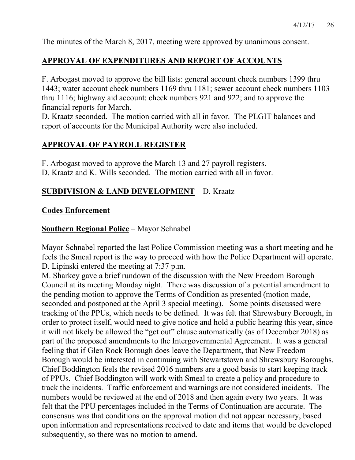The minutes of the March 8, 2017, meeting were approved by unanimous consent.

# **APPROVAL OF EXPENDITURES AND REPORT OF ACCOUNTS**

F. Arbogast moved to approve the bill lists: general account check numbers 1399 thru 1443; water account check numbers 1169 thru 1181; sewer account check numbers 1103 thru 1116; highway aid account: check numbers 921 and 922; and to approve the financial reports for March.

D. Kraatz seconded. The motion carried with all in favor. The PLGIT balances and report of accounts for the Municipal Authority were also included.

# **APPROVAL OF PAYROLL REGISTER**

F. Arbogast moved to approve the March 13 and 27 payroll registers.

D. Kraatz and K. Wills seconded. The motion carried with all in favor.

# **SUBDIVISION & LAND DEVELOPMENT** – D. Kraatz

# **Codes Enforcement**

# **Southern Regional Police** – Mayor Schnabel

Mayor Schnabel reported the last Police Commission meeting was a short meeting and he feels the Smeal report is the way to proceed with how the Police Department will operate. D. Lipinski entered the meeting at 7:37 p.m.

M. Sharkey gave a brief rundown of the discussion with the New Freedom Borough Council at its meeting Monday night. There was discussion of a potential amendment to the pending motion to approve the Terms of Condition as presented (motion made, seconded and postponed at the April 3 special meeting). Some points discussed were tracking of the PPUs, which needs to be defined. It was felt that Shrewsbury Borough, in order to protect itself, would need to give notice and hold a public hearing this year, since it will not likely be allowed the "get out" clause automatically (as of December 2018) as part of the proposed amendments to the Intergovernmental Agreement. It was a general feeling that if Glen Rock Borough does leave the Department, that New Freedom Borough would be interested in continuing with Stewartstown and Shrewsbury Boroughs. Chief Boddington feels the revised 2016 numbers are a good basis to start keeping track of PPUs. Chief Boddington will work with Smeal to create a policy and procedure to track the incidents. Traffic enforcement and warnings are not considered incidents. The numbers would be reviewed at the end of 2018 and then again every two years. It was felt that the PPU percentages included in the Terms of Continuation are accurate. The consensus was that conditions on the approval motion did not appear necessary, based upon information and representations received to date and items that would be developed subsequently, so there was no motion to amend.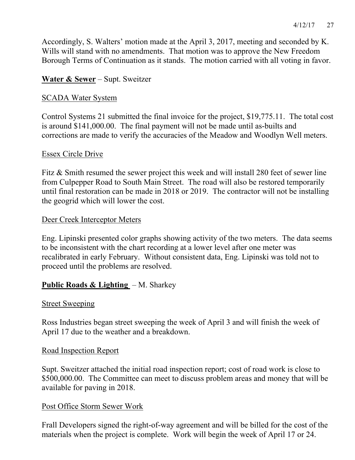Accordingly, S. Walters' motion made at the April 3, 2017, meeting and seconded by K. Wills will stand with no amendments. That motion was to approve the New Freedom Borough Terms of Continuation as it stands. The motion carried with all voting in favor.

# **Water & Sewer** – Supt. Sweitzer

### **SCADA Water System**

Control Systems 21 submitted the final invoice for the project, \$19,775.11. The total cost is around \$141,000.00. The final payment will not be made until as-builts and corrections are made to verify the accuracies of the Meadow and Woodlyn Well meters.

#### Essex Circle Drive

Fitz & Smith resumed the sewer project this week and will install 280 feet of sewer line from Culpepper Road to South Main Street. The road will also be restored temporarily until final restoration can be made in 2018 or 2019. The contractor will not be installing the geogrid which will lower the cost.

#### Deer Creek Interceptor Meters

Eng. Lipinski presented color graphs showing activity of the two meters. The data seems to be inconsistent with the chart recording at a lower level after one meter was recalibrated in early February. Without consistent data, Eng. Lipinski was told not to proceed until the problems are resolved.

### **Public Roads & Lighting** – M. Sharkey

#### Street Sweeping

Ross Industries began street sweeping the week of April 3 and will finish the week of April 17 due to the weather and a breakdown.

#### Road Inspection Report

Supt. Sweitzer attached the initial road inspection report; cost of road work is close to \$500,000.00. The Committee can meet to discuss problem areas and money that will be available for paving in 2018.

#### Post Office Storm Sewer Work

Frall Developers signed the right-of-way agreement and will be billed for the cost of the materials when the project is complete. Work will begin the week of April 17 or 24.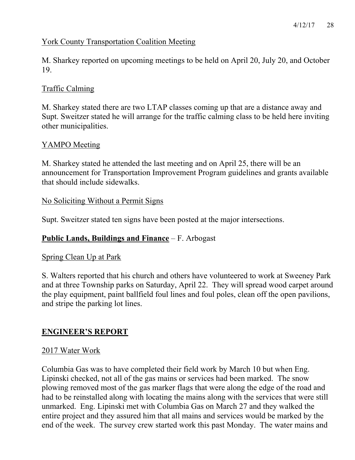## York County Transportation Coalition Meeting

M. Sharkey reported on upcoming meetings to be held on April 20, July 20, and October 19.

## Traffic Calming

M. Sharkey stated there are two LTAP classes coming up that are a distance away and Supt. Sweitzer stated he will arrange for the traffic calming class to be held here inviting other municipalities.

## YAMPO Meeting

M. Sharkey stated he attended the last meeting and on April 25, there will be an announcement for Transportation Improvement Program guidelines and grants available that should include sidewalks.

## No Soliciting Without a Permit Signs

Supt. Sweitzer stated ten signs have been posted at the major intersections.

# **Public Lands, Buildings and Finance** – F. Arbogast

### Spring Clean Up at Park

S. Walters reported that his church and others have volunteered to work at Sweeney Park and at three Township parks on Saturday, April 22. They will spread wood carpet around the play equipment, paint ballfield foul lines and foul poles, clean off the open pavilions, and stripe the parking lot lines.

# **ENGINEER'S REPORT**

### 2017 Water Work

Columbia Gas was to have completed their field work by March 10 but when Eng. Lipinski checked, not all of the gas mains or services had been marked. The snow plowing removed most of the gas marker flags that were along the edge of the road and had to be reinstalled along with locating the mains along with the services that were still unmarked. Eng. Lipinski met with Columbia Gas on March 27 and they walked the entire project and they assured him that all mains and services would be marked by the end of the week. The survey crew started work this past Monday. The water mains and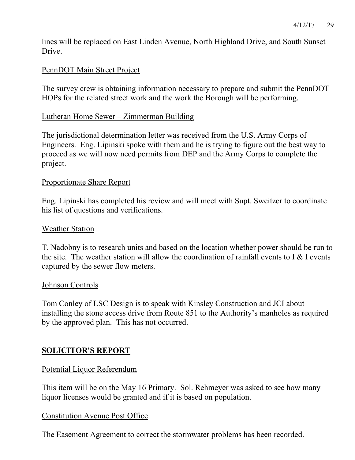lines will be replaced on East Linden Avenue, North Highland Drive, and South Sunset **Drive** 

## PennDOT Main Street Project

The survey crew is obtaining information necessary to prepare and submit the PennDOT HOPs for the related street work and the work the Borough will be performing.

#### Lutheran Home Sewer – Zimmerman Building

The jurisdictional determination letter was received from the U.S. Army Corps of Engineers. Eng. Lipinski spoke with them and he is trying to figure out the best way to proceed as we will now need permits from DEP and the Army Corps to complete the project.

#### Proportionate Share Report

Eng. Lipinski has completed his review and will meet with Supt. Sweitzer to coordinate his list of questions and verifications.

#### Weather Station

T. Nadobny is to research units and based on the location whether power should be run to the site. The weather station will allow the coordination of rainfall events to  $I \& I$  events captured by the sewer flow meters.

#### Johnson Controls

Tom Conley of LSC Design is to speak with Kinsley Construction and JCI about installing the stone access drive from Route 851 to the Authority's manholes as required by the approved plan. This has not occurred.

### **SOLICITOR'S REPORT**

### Potential Liquor Referendum

This item will be on the May 16 Primary. Sol. Rehmeyer was asked to see how many liquor licenses would be granted and if it is based on population.

### Constitution Avenue Post Office

The Easement Agreement to correct the stormwater problems has been recorded.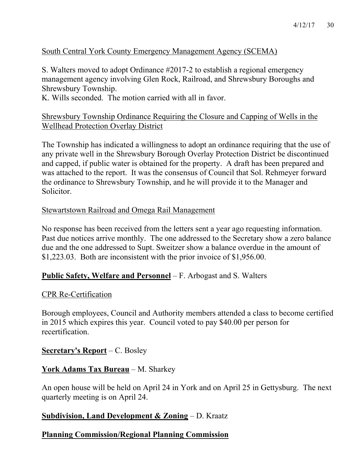# South Central York County Emergency Management Agency (SCEMA)

S. Walters moved to adopt Ordinance #2017-2 to establish a regional emergency management agency involving Glen Rock, Railroad, and Shrewsbury Boroughs and Shrewsbury Township.

K. Wills seconded. The motion carried with all in favor.

#### Shrewsbury Township Ordinance Requiring the Closure and Capping of Wells in the Wellhead Protection Overlay District

The Township has indicated a willingness to adopt an ordinance requiring that the use of any private well in the Shrewsbury Borough Overlay Protection District be discontinued and capped, if public water is obtained for the property. A draft has been prepared and was attached to the report. It was the consensus of Council that Sol. Rehmeyer forward the ordinance to Shrewsbury Township, and he will provide it to the Manager and Solicitor.

### Stewartstown Railroad and Omega Rail Management

No response has been received from the letters sent a year ago requesting information. Past due notices arrive monthly. The one addressed to the Secretary show a zero balance due and the one addressed to Supt. Sweitzer show a balance overdue in the amount of \$1,223.03. Both are inconsistent with the prior invoice of \$1,956.00.

### **Public Safety, Welfare and Personnel** – F. Arbogast and S. Walters

#### CPR Re-Certification

Borough employees, Council and Authority members attended a class to become certified in 2015 which expires this year. Council voted to pay \$40.00 per person for recertification.

#### **Secretary's Report** – C. Bosley

### **York Adams Tax Bureau** – M. Sharkey

An open house will be held on April 24 in York and on April 25 in Gettysburg. The next quarterly meeting is on April 24.

### **Subdivision, Land Development & Zoning** – D. Kraatz

### **Planning Commission/Regional Planning Commission**